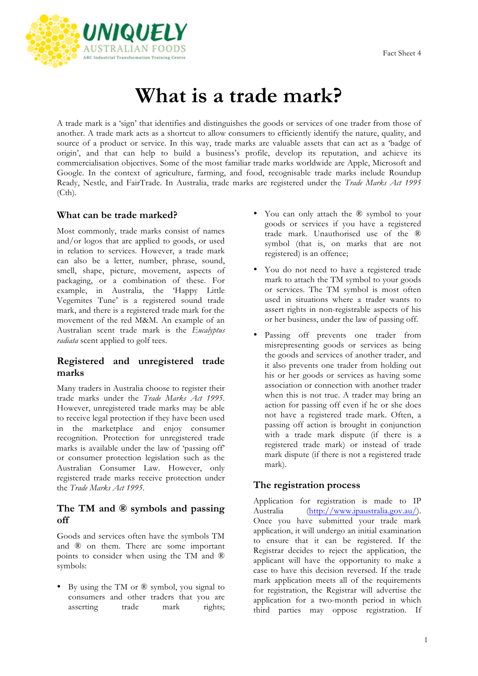

# **What is a trade mark?**

A trade mark is a 'sign' that identifies and distinguishes the goods or services of one trader from those of another. A trade mark acts as a shortcut to allow consumers to efficiently identify the nature, quality, and source of a product or service. In this way, trade marks are valuable assets that can act as a 'badge of origin', and that can help to build a business's profile, develop its reputation, and achieve its commercialisation objectives. Some of the most familiar trade marks worldwide are Apple, Microsoft and Google. In the context of agriculture, farming, and food, recognisable trade marks include Roundup Ready, Nestle, and FairTrade. In Australia, trade marks are registered under the *Trade Marks Act 1995* (Cth).

## **What can be trade marked?**

Most commonly, trade marks consist of names and/or logos that are applied to goods, or used in relation to services. However, a trade mark can also be a letter, number, phrase, sound, smell, shape, picture, movement, aspects of packaging, or a combination of these. For example, in Australia, the 'Happy Little Vegemites Tune' is a registered sound trade mark, and there is a registered trade mark for the movement of the red M&M. An example of an Australian scent trade mark is the *Eucalyptus radiata* scent applied to golf tees.

## **Registered and unregistered trade marks**

Many traders in Australia choose to register their trade marks under the *Trade Marks Act 1995*. However, unregistered trade marks may be able to receive legal protection if they have been used in the marketplace and enjoy consumer recognition. Protection for unregistered trade marks is available under the law of 'passing off' or consumer protection legislation such as the Australian Consumer Law. However, only registered trade marks receive protection under the *Trade Marks Act 1995*.

## **The TM and ® symbols and passing off**

Goods and services often have the symbols TM and ® on them. There are some important points to consider when using the TM and ® symbols:

• By using the TM or ® symbol, you signal to consumers and other traders that you are asserting trade mark rights;

- You can only attach the ® symbol to your goods or services if you have a registered trade mark. Unauthorised use of the ® symbol (that is, on marks that are not registered) is an offence;
- You do not need to have a registered trade mark to attach the TM symbol to your goods or services. The TM symbol is most often used in situations where a trader wants to assert rights in non-registrable aspects of his or her business, under the law of passing off.
- Passing off prevents one trader from misrepresenting goods or services as being the goods and services of another trader, and it also prevents one trader from holding out his or her goods or services as having some association or connection with another trader when this is not true. A trader may bring an action for passing off even if he or she does not have a registered trade mark. Often, a passing off action is brought in conjunction with a trade mark dispute (if there is a registered trade mark) or instead of trade mark dispute (if there is not a registered trade mark).

## **The registration process**

Application for registration is made to IP Australia [\(http://www.ipaustralia.gov.au/](http://www.ipaustralia.gov.au/)). Once you have submitted your trade mark application, it will undergo an initial examination to ensure that it can be registered. If the Registrar decides to reject the application, the applicant will have the opportunity to make a case to have this decision reversed. If the trade mark application meets all of the requirements for registration, the Registrar will advertise the application for a two-month period in which third parties may oppose registration. If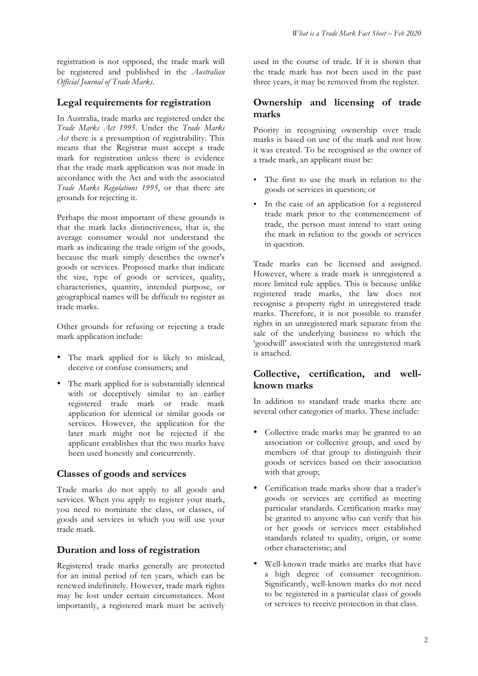registration is not opposed, the trade mark will be registered and published in the *Australian Official Journal of Trade Marks*.

## **Legal requirements for registration**

In Australia, trade marks are registered under the *Trade Marks Act 1995*. Under the *Trade Marks Act* there is a presumption of registrability. This means that the Registrar must accept a trade mark for registration unless there is evidence that the trade mark application was not made in accordance with the Act and with the associated *Trade Marks Regulations 1995*, or that there are grounds for rejecting it.

Perhaps the most important of these grounds is that the mark lacks distinctiveness, that is, the average consumer would not understand the mark as indicating the trade origin of the goods, because the mark simply describes the owner's goods or services. Proposed marks that indicate the size, type of goods or services, quality, characteristics, quantity, intended purpose, or geographical names will be difficult to register as trade marks.

Other grounds for refusing or rejecting a trade mark application include:

- The mark applied for is likely to mislead, deceive or confuse consumers; and
- The mark applied for is substantially identical with or deceptively similar to an earlier registered trade mark or trade mark application for identical or similar goods or services. However, the application for the later mark might not be rejected if the applicant establishes that the two marks have been used honestly and concurrently.

#### **Classes of goods and services**

Trade marks do not apply to all goods and services. When you apply to register your mark, you need to nominate the class, or classes, of goods and services in which you will use your trade mark.

## **Duration and loss of registration**

Registered trade marks generally are protected for an initial period of ten years, which can be renewed indefinitely. However, trade mark rights may be lost under certain circumstances. Most importantly, a registered mark must be actively used in the course of trade. If it is shown that the trade mark has not been used in the past three years, it may be removed from the register.

## **Ownership and licensing of trade marks**

Priority in recognising ownership over trade marks is based on use of the mark and not how it was created. To be recognised as the owner of a trade mark, an applicant must be:

- The first to use the mark in relation to the goods or services in question; or
- In the case of an application for a registered trade mark prior to the commencement of trade, the person must intend to start using the mark in relation to the goods or services in question.

Trade marks can be licensed and assigned. However, where a trade mark is unregistered a more limited rule applies. This is because unlike registered trade marks, the law does not recognise a property right in unregistered trade marks. Therefore, it is not possible to transfer rights in an unregistered mark separate from the sale of the underlying business to which the 'goodwill' associated with the unregistered mark is attached.

# **Collective, certification, and wellknown marks**

In addition to standard trade marks there are several other categories of marks. These include:

- Collective trade marks may be granted to an association or collective group, and used by members of that group to distinguish their goods or services based on their association with that group;
- Certification trade marks show that a trader's goods or services are certified as meeting particular standards. Certification marks may be granted to anyone who can verify that his or her goods or services meet established standards related to quality, origin, or some other characteristic; and
- Well-known trade marks are marks that have a high degree of consumer recognition. Significantly, well-known marks do not need to be registered in a particular class of goods or services to receive protection in that class.